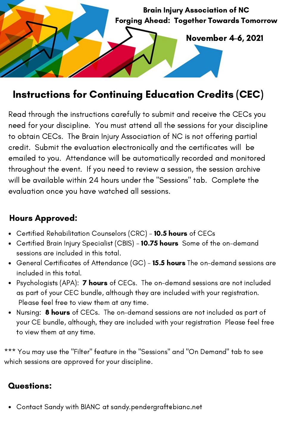

# Instructions for Continuing Education Credits (CEC)

Read through the instructions carefully to submit and receive the CECs you need for your discipline. You must attend all the sessions for your discipline to obtain CECs. The Brain Injury Association of NC is not offering partial credit. Submit the evaluation electronically and the certificates will be emailed to you. Attendance will be automatically recorded and monitored throughout the event. If you need to review a session, the session archive will be available within 24 hours under the "Sessions" tab. Complete the evaluation once you have watched all sessions.

## Hours Approved:

- Certified Rehabilitation Counselors (CRC) 10.5 hours of CECs
- Certified Brain Injury Specialist (CBIS) 10.75 hours Some of the on-demand sessions are included in this total.
- General Certificates of Attendance (GC) 15.5 hours The on-demand sessions are included in this total.
- Psychologists (APA): **7 hours** of CECs. The on-demand sessions are not included as part of your CEC bundle, although they are included with your registration. Please feel free to view them at any time.
- Nursing: 8 hours of CECs. The on-demand sessions are not included as part of your CE bundle, although, they are included with your registration Please feel free to view them at any time.

\*\*\* You may use the "Filter" feature in the "Sessions" and "On Demand" tab to see which sessions are approved for your discipline.

# Questions:

Contact Sandy with BIANC at sandy.pendergraft@bianc.net